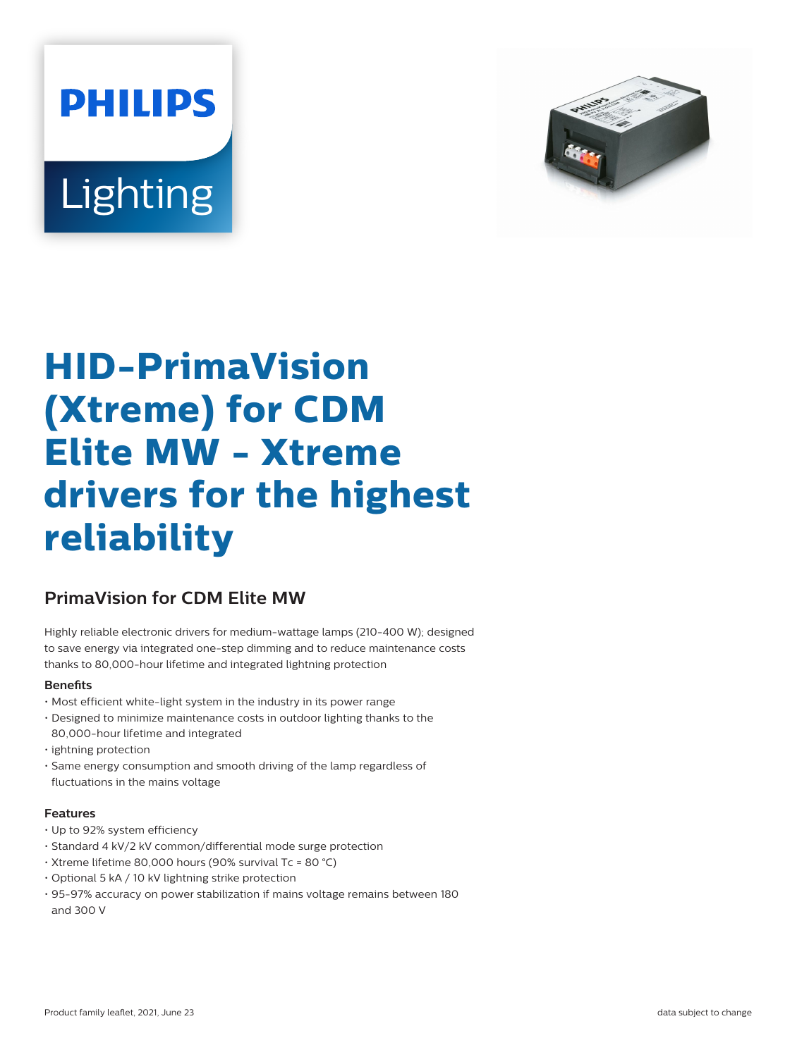



# **HID-PrimaVision (Xtreme) for CDM Elite MW - Xtreme drivers for the highest reliability**

## **PrimaVision for CDM Elite MW**

Highly reliable electronic drivers for medium-wattage lamps (210-400 W); designed to save energy via integrated one-step dimming and to reduce maintenance costs thanks to 80,000-hour lifetime and integrated lightning protection

## **Benets**

- Most efficient white-light system in the industry in its power range
- Designed to minimize maintenance costs in outdoor lighting thanks to the 80,000-hour lifetime and integrated
- ightning protection
- Same energy consumption and smooth driving of the lamp regardless of fluctuations in the mains voltage

## **Features**

- Up to 92% system efficiency
- Standard 4 kV/2 kV common/differential mode surge protection
- Xtreme lifetime 80,000 hours (90% survival Tc = 80 °C)
- Optional 5 kA / 10 kV lightning strike protection
- 95-97% accuracy on power stabilization if mains voltage remains between 180 and 300 V